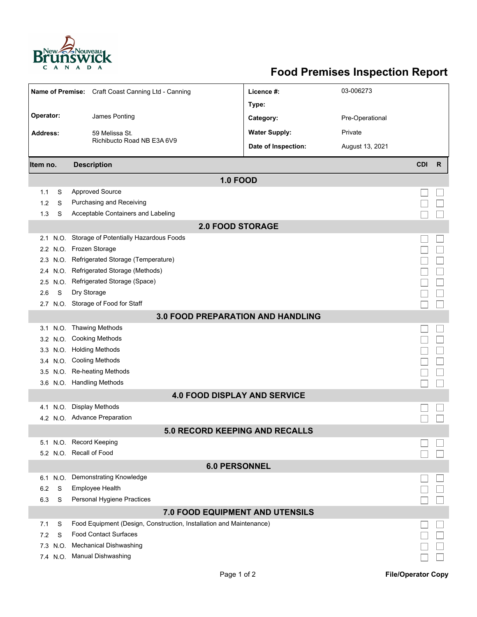

## **Food Premises Inspection Report**

| Name of Premise: Craft Coast Canning Ltd - Canning |      |                                                                     | Licence #:           | 03-006273       |            |              |  |  |  |  |  |  |
|----------------------------------------------------|------|---------------------------------------------------------------------|----------------------|-----------------|------------|--------------|--|--|--|--|--|--|
|                                                    |      |                                                                     | Type:                |                 |            |              |  |  |  |  |  |  |
| Operator:                                          |      | James Ponting                                                       | Category:            | Pre-Operational |            |              |  |  |  |  |  |  |
| <b>Address:</b>                                    |      | 59 Melissa St.                                                      | <b>Water Supply:</b> | Private         |            |              |  |  |  |  |  |  |
|                                                    |      | Richibucto Road NB E3A 6V9                                          | Date of Inspection:  | August 13, 2021 |            |              |  |  |  |  |  |  |
|                                                    |      |                                                                     |                      |                 |            |              |  |  |  |  |  |  |
| Item no.                                           |      | <b>Description</b>                                                  |                      |                 | <b>CDI</b> | $\mathsf{R}$ |  |  |  |  |  |  |
| <b>1.0 FOOD</b>                                    |      |                                                                     |                      |                 |            |              |  |  |  |  |  |  |
| 1.1                                                | S    | <b>Approved Source</b>                                              |                      |                 |            |              |  |  |  |  |  |  |
| 1.2                                                | S    | Purchasing and Receiving                                            |                      |                 |            |              |  |  |  |  |  |  |
| 1.3                                                | S    | Acceptable Containers and Labeling                                  |                      |                 |            |              |  |  |  |  |  |  |
| <b>2.0 FOOD STORAGE</b>                            |      |                                                                     |                      |                 |            |              |  |  |  |  |  |  |
| 2.1                                                | N.O. | Storage of Potentially Hazardous Foods                              |                      |                 |            |              |  |  |  |  |  |  |
|                                                    |      | 2.2 N.O. Frozen Storage                                             |                      |                 |            |              |  |  |  |  |  |  |
|                                                    |      | 2.3 N.O. Refrigerated Storage (Temperature)                         |                      |                 |            |              |  |  |  |  |  |  |
| 2.4                                                | N.O. | Refrigerated Storage (Methods)                                      |                      |                 |            |              |  |  |  |  |  |  |
| 2.5                                                | N.O. | Refrigerated Storage (Space)                                        |                      |                 |            |              |  |  |  |  |  |  |
| 2.6                                                | S    | Dry Storage                                                         |                      |                 |            |              |  |  |  |  |  |  |
|                                                    |      | 2.7 N.O. Storage of Food for Staff                                  |                      |                 |            |              |  |  |  |  |  |  |
| <b>3.0 FOOD PREPARATION AND HANDLING</b>           |      |                                                                     |                      |                 |            |              |  |  |  |  |  |  |
| 3.1                                                |      | N.O. Thawing Methods                                                |                      |                 |            |              |  |  |  |  |  |  |
| 3.2 N.O.                                           |      | <b>Cooking Methods</b>                                              |                      |                 |            |              |  |  |  |  |  |  |
|                                                    |      | 3.3 N.O. Holding Methods                                            |                      |                 |            |              |  |  |  |  |  |  |
|                                                    |      | 3.4 N.O. Cooling Methods                                            |                      |                 |            |              |  |  |  |  |  |  |
|                                                    |      | 3.5 N.O. Re-heating Methods                                         |                      |                 |            |              |  |  |  |  |  |  |
|                                                    |      | 3.6 N.O. Handling Methods                                           |                      |                 |            |              |  |  |  |  |  |  |
|                                                    |      | <b>4.0 FOOD DISPLAY AND SERVICE</b>                                 |                      |                 |            |              |  |  |  |  |  |  |
| 4.1                                                | N.O. | <b>Display Methods</b>                                              |                      |                 |            |              |  |  |  |  |  |  |
|                                                    |      | 4.2 N.O. Advance Preparation                                        |                      |                 |            |              |  |  |  |  |  |  |
|                                                    |      | 5.0 RECORD KEEPING AND RECALLS                                      |                      |                 |            |              |  |  |  |  |  |  |
|                                                    |      | 5.1 N.O. Record Keeping                                             |                      |                 |            |              |  |  |  |  |  |  |
|                                                    |      | 5.2 N.O. Recall of Food                                             |                      |                 |            |              |  |  |  |  |  |  |
| <b>6.0 PERSONNEL</b>                               |      |                                                                     |                      |                 |            |              |  |  |  |  |  |  |
| 6.1 N.O.                                           |      | <b>Demonstrating Knowledge</b>                                      |                      |                 |            |              |  |  |  |  |  |  |
| 6.2                                                | S    | <b>Employee Health</b>                                              |                      |                 |            |              |  |  |  |  |  |  |
| 6.3                                                | S    | Personal Hygiene Practices                                          |                      |                 |            |              |  |  |  |  |  |  |
| 7.0 FOOD EQUIPMENT AND UTENSILS                    |      |                                                                     |                      |                 |            |              |  |  |  |  |  |  |
| 7.1                                                | S    | Food Equipment (Design, Construction, Installation and Maintenance) |                      |                 |            |              |  |  |  |  |  |  |
| 7.2                                                | S    | <b>Food Contact Surfaces</b>                                        |                      |                 |            |              |  |  |  |  |  |  |
| 7.3 N.O.                                           |      | <b>Mechanical Dishwashing</b>                                       |                      |                 |            |              |  |  |  |  |  |  |
|                                                    |      | 7.4 N.O. Manual Dishwashing                                         |                      |                 |            |              |  |  |  |  |  |  |